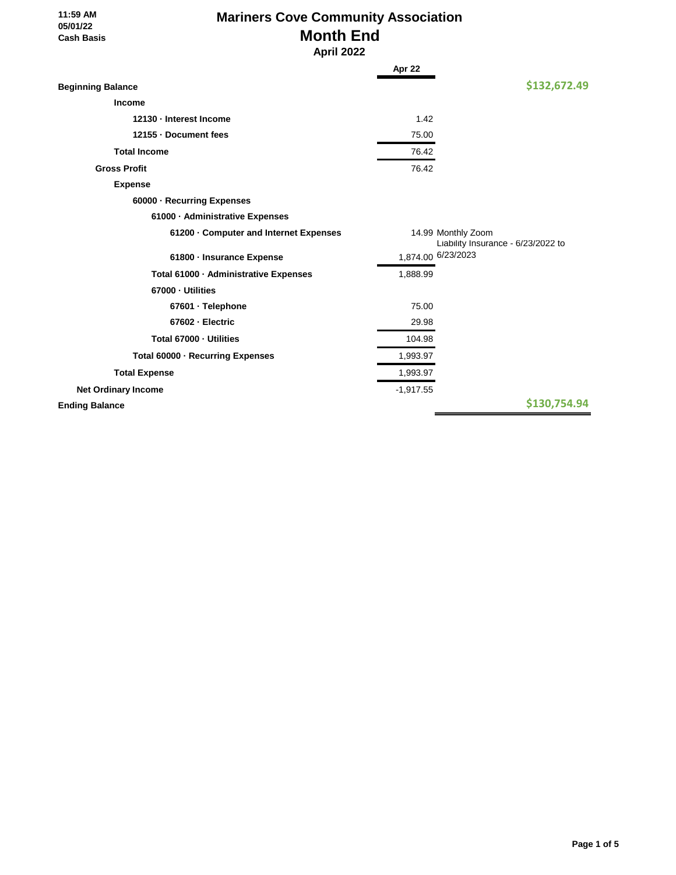#### **11:59 AM 05/01/22 Cash Basis**

# **Mariners Cove Community Association Month End**

 **April 2022**

| \$132,672.49<br><b>Beginning Balance</b><br>Income<br>1.42<br>12130 - Interest Income<br>12155 - Document fees<br>75.00<br><b>Total Income</b><br>76.42<br>76.42<br><b>Gross Profit</b><br><b>Expense</b><br>60000 · Recurring Expenses<br>61000 - Administrative Expenses<br>14.99 Monthly Zoom<br>61200 Computer and Internet Expenses<br>Liability Insurance - 6/23/2022 to<br>1,874.00 6/23/2023<br>61800 - Insurance Expense<br>Total 61000 · Administrative Expenses<br>1,888.99<br>67000 · Utilities<br>75.00<br>67601 · Telephone<br>67602 - Electric<br>29.98<br>Total 67000 - Utilities<br>104.98<br>1,993.97<br>Total 60000 - Recurring Expenses<br>1,993.97<br><b>Total Expense</b><br>$-1,917.55$<br><b>Net Ordinary Income</b><br>\$130,754.94<br><b>Ending Balance</b> | Apr 22 |  |
|---------------------------------------------------------------------------------------------------------------------------------------------------------------------------------------------------------------------------------------------------------------------------------------------------------------------------------------------------------------------------------------------------------------------------------------------------------------------------------------------------------------------------------------------------------------------------------------------------------------------------------------------------------------------------------------------------------------------------------------------------------------------------------------|--------|--|
|                                                                                                                                                                                                                                                                                                                                                                                                                                                                                                                                                                                                                                                                                                                                                                                       |        |  |
|                                                                                                                                                                                                                                                                                                                                                                                                                                                                                                                                                                                                                                                                                                                                                                                       |        |  |
|                                                                                                                                                                                                                                                                                                                                                                                                                                                                                                                                                                                                                                                                                                                                                                                       |        |  |
|                                                                                                                                                                                                                                                                                                                                                                                                                                                                                                                                                                                                                                                                                                                                                                                       |        |  |
|                                                                                                                                                                                                                                                                                                                                                                                                                                                                                                                                                                                                                                                                                                                                                                                       |        |  |
|                                                                                                                                                                                                                                                                                                                                                                                                                                                                                                                                                                                                                                                                                                                                                                                       |        |  |
|                                                                                                                                                                                                                                                                                                                                                                                                                                                                                                                                                                                                                                                                                                                                                                                       |        |  |
|                                                                                                                                                                                                                                                                                                                                                                                                                                                                                                                                                                                                                                                                                                                                                                                       |        |  |
|                                                                                                                                                                                                                                                                                                                                                                                                                                                                                                                                                                                                                                                                                                                                                                                       |        |  |
|                                                                                                                                                                                                                                                                                                                                                                                                                                                                                                                                                                                                                                                                                                                                                                                       |        |  |
|                                                                                                                                                                                                                                                                                                                                                                                                                                                                                                                                                                                                                                                                                                                                                                                       |        |  |
|                                                                                                                                                                                                                                                                                                                                                                                                                                                                                                                                                                                                                                                                                                                                                                                       |        |  |
|                                                                                                                                                                                                                                                                                                                                                                                                                                                                                                                                                                                                                                                                                                                                                                                       |        |  |
|                                                                                                                                                                                                                                                                                                                                                                                                                                                                                                                                                                                                                                                                                                                                                                                       |        |  |
|                                                                                                                                                                                                                                                                                                                                                                                                                                                                                                                                                                                                                                                                                                                                                                                       |        |  |
|                                                                                                                                                                                                                                                                                                                                                                                                                                                                                                                                                                                                                                                                                                                                                                                       |        |  |
|                                                                                                                                                                                                                                                                                                                                                                                                                                                                                                                                                                                                                                                                                                                                                                                       |        |  |
|                                                                                                                                                                                                                                                                                                                                                                                                                                                                                                                                                                                                                                                                                                                                                                                       |        |  |
|                                                                                                                                                                                                                                                                                                                                                                                                                                                                                                                                                                                                                                                                                                                                                                                       |        |  |
|                                                                                                                                                                                                                                                                                                                                                                                                                                                                                                                                                                                                                                                                                                                                                                                       |        |  |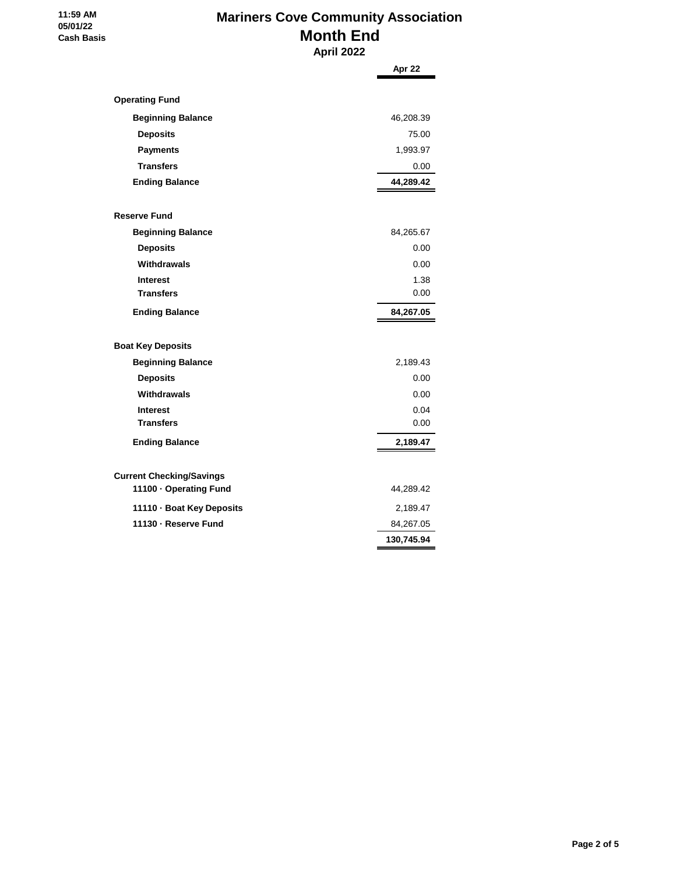#### **11:59 AM 05/01/22 Cash Basis**

# **Mariners Cove Community Association Month End April 2022**

**Apr 22 Operating Fund Beginning Balance** 46,208.39  **Deposits** 75.00 **Payments** 1,993.97  **Transfers** 0.00 **Ending Balance 44,289.42 Reserve Fund Beginning Balance** 84,265.67  **Deposits** 0.00  **Withdrawals** 0.00 **Interest** 1.38  **Transfers** 0.00 **Ending Balance 84,267.05 Boat Key Deposits Beginning Balance** 2,189.43  **Deposits** 0.00  **Withdrawals** 0.00  **Interest** 0.04  **Transfers** 0.00 **Ending Balance 2,189.47 Current Checking/Savings 11100 · Operating Fund** 44,289.42 **11110 · Boat Key Deposits** 2,189.47 **11130 · Reserve Fund** 84,267.05 **130,745.94**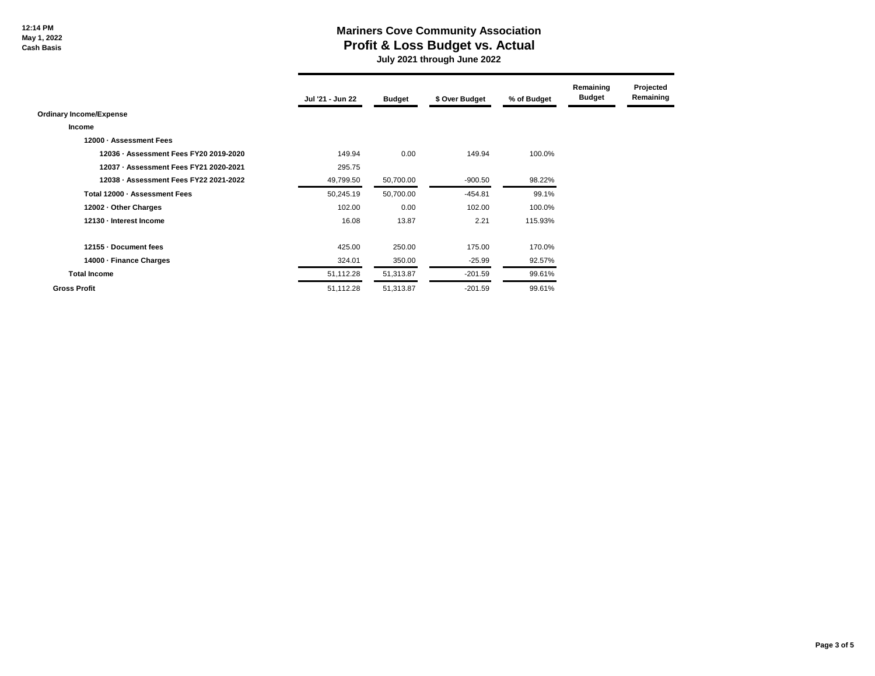## **Mariners Cove Community Association Profit & Loss Budget vs. Actual**

 **July 2021 through June 2022**

|                                        | Jul '21 - Jun 22 | <b>Budget</b> | \$ Over Budget | % of Budget | Remaining<br><b>Budget</b> | Projected<br>Remaining |
|----------------------------------------|------------------|---------------|----------------|-------------|----------------------------|------------------------|
| <b>Ordinary Income/Expense</b>         |                  |               |                |             |                            |                        |
| Income                                 |                  |               |                |             |                            |                        |
| 12000 - Assessment Fees                |                  |               |                |             |                            |                        |
| 12036 - Assessment Fees FY20 2019-2020 | 149.94           | 0.00          | 149.94         | 100.0%      |                            |                        |
| 12037 - Assessment Fees FY21 2020-2021 | 295.75           |               |                |             |                            |                        |
| 12038 - Assessment Fees FY22 2021-2022 | 49,799.50        | 50,700.00     | $-900.50$      | 98.22%      |                            |                        |
| Total 12000 - Assessment Fees          | 50,245.19        | 50,700.00     | $-454.81$      | 99.1%       |                            |                        |
| 12002 - Other Charges                  | 102.00           | 0.00          | 102.00         | 100.0%      |                            |                        |
| 12130 - Interest Income                | 16.08            | 13.87         | 2.21           | 115.93%     |                            |                        |
| 12155 Document fees                    | 425.00           | 250.00        | 175.00         | 170.0%      |                            |                        |
| 14000 - Finance Charges                | 324.01           | 350.00        | $-25.99$       | 92.57%      |                            |                        |
| <b>Total Income</b>                    | 51,112.28        | 51,313.87     | $-201.59$      | 99.61%      |                            |                        |
| <b>Gross Profit</b>                    | 51,112.28        | 51,313.87     | $-201.59$      | 99.61%      |                            |                        |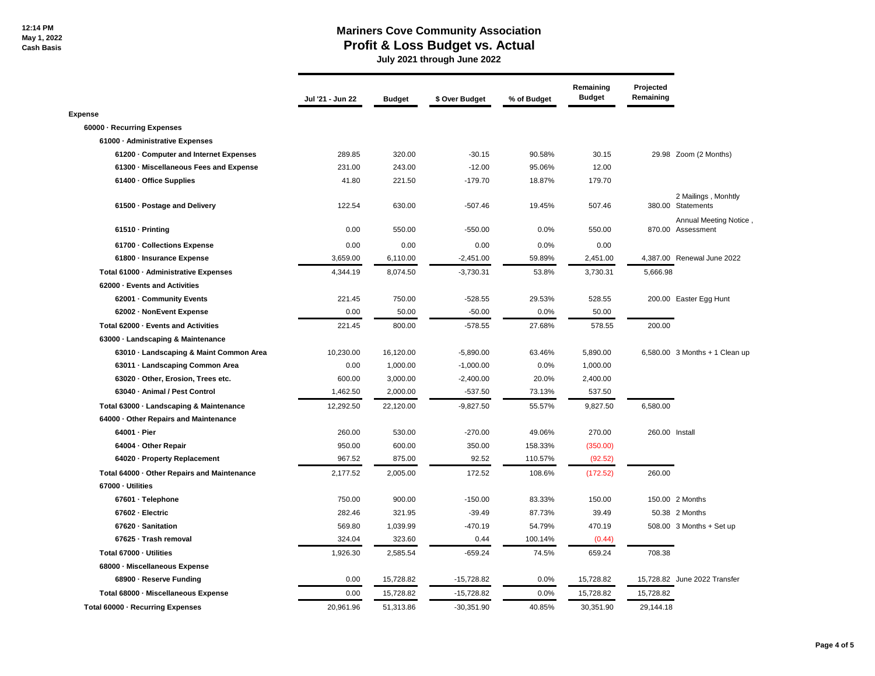### **Mariners Cove Community Association Profit & Loss Budget vs. Actual**

 **July 2021 through June 2022**

|                                             | Jul '21 - Jun 22 | <b>Budget</b> | \$ Over Budget | % of Budget | Remaining<br><b>Budget</b> | Projected<br>Remaining |                                             |
|---------------------------------------------|------------------|---------------|----------------|-------------|----------------------------|------------------------|---------------------------------------------|
| <b>Expense</b>                              |                  |               |                |             |                            |                        |                                             |
| 60000 - Recurring Expenses                  |                  |               |                |             |                            |                        |                                             |
| 61000 - Administrative Expenses             |                  |               |                |             |                            |                        |                                             |
| 61200 - Computer and Internet Expenses      | 289.85           | 320.00        | $-30.15$       | 90.58%      | 30.15                      |                        | 29.98 Zoom (2 Months)                       |
| 61300 · Miscellaneous Fees and Expense      | 231.00           | 243.00        | $-12.00$       | 95.06%      | 12.00                      |                        |                                             |
| 61400 - Office Supplies                     | 41.80            | 221.50        | $-179.70$      | 18.87%      | 179.70                     |                        |                                             |
| 61500 - Postage and Delivery                | 122.54           | 630.00        | $-507.46$      | 19.45%      | 507.46                     |                        | 2 Mailings, Monhtly<br>380.00 Statements    |
| 61510 - Printing                            | 0.00             | 550.00        | $-550.00$      | 0.0%        | 550.00                     |                        | Annual Meeting Notice,<br>870.00 Assessment |
| 61700 - Collections Expense                 | 0.00             | 0.00          | 0.00           | 0.0%        | 0.00                       |                        |                                             |
| 61800 - Insurance Expense                   | 3,659.00         | 6,110.00      | $-2,451.00$    | 59.89%      | 2,451.00                   |                        | 4,387.00 Renewal June 2022                  |
| Total 61000 - Administrative Expenses       | 4,344.19         | 8,074.50      | $-3,730.31$    | 53.8%       | 3,730.31                   | 5,666.98               |                                             |
| 62000 - Events and Activities               |                  |               |                |             |                            |                        |                                             |
| 62001 - Community Events                    | 221.45           | 750.00        | $-528.55$      | 29.53%      | 528.55                     |                        | 200.00 Easter Egg Hunt                      |
| 62002 - NonEvent Expense                    | 0.00             | 50.00         | $-50.00$       | 0.0%        | 50.00                      |                        |                                             |
| Total 62000 - Events and Activities         | 221.45           | 800.00        | $-578.55$      | 27.68%      | 578.55                     | 200.00                 |                                             |
| 63000 - Landscaping & Maintenance           |                  |               |                |             |                            |                        |                                             |
| 63010 - Landscaping & Maint Common Area     | 10,230.00        | 16,120.00     | $-5,890.00$    | 63.46%      | 5,890.00                   |                        | $6,580.00$ 3 Months $+1$ Clean up           |
| 63011 - Landscaping Common Area             | 0.00             | 1,000.00      | $-1,000.00$    | 0.0%        | 1,000.00                   |                        |                                             |
| 63020 Other, Erosion, Trees etc.            | 600.00           | 3,000.00      | $-2,400.00$    | 20.0%       | 2,400.00                   |                        |                                             |
| 63040 - Animal / Pest Control               | 1,462.50         | 2,000.00      | $-537.50$      | 73.13%      | 537.50                     |                        |                                             |
| Total 63000 - Landscaping & Maintenance     | 12,292.50        | 22,120.00     | $-9,827.50$    | 55.57%      | 9,827.50                   | 6,580.00               |                                             |
| 64000 · Other Repairs and Maintenance       |                  |               |                |             |                            |                        |                                             |
| 64001 - Pier                                | 260.00           | 530.00        | $-270.00$      | 49.06%      | 270.00                     | 260.00 Install         |                                             |
| 64004 - Other Repair                        | 950.00           | 600.00        | 350.00         | 158.33%     | (350.00)                   |                        |                                             |
| 64020 - Property Replacement                | 967.52           | 875.00        | 92.52          | 110.57%     | (92.52)                    |                        |                                             |
| Total 64000 - Other Repairs and Maintenance | 2,177.52         | 2,005.00      | 172.52         | 108.6%      | (172.52)                   | 260.00                 |                                             |
| 67000 - Utilities                           |                  |               |                |             |                            |                        |                                             |
| 67601 · Telephone                           | 750.00           | 900.00        | $-150.00$      | 83.33%      | 150.00                     |                        | 150.00 2 Months                             |
| 67602 - Electric                            | 282.46           | 321.95        | $-39.49$       | 87.73%      | 39.49                      |                        | 50.38 2 Months                              |
| 67620 · Sanitation                          | 569.80           | 1,039.99      | $-470.19$      | 54.79%      | 470.19                     |                        | 508.00 3 Months + Set up                    |
| 67625 - Trash removal                       | 324.04           | 323.60        | 0.44           | 100.14%     | (0.44)                     |                        |                                             |
| Total 67000 - Utilities                     | 1,926.30         | 2,585.54      | $-659.24$      | 74.5%       | 659.24                     | 708.38                 |                                             |
| 68000 - Miscellaneous Expense               |                  |               |                |             |                            |                        |                                             |
| 68900 - Reserve Funding                     | 0.00             | 15,728.82     | $-15,728.82$   | 0.0%        | 15,728.82                  |                        | 15,728.82 June 2022 Transfer                |
| Total 68000 - Miscellaneous Expense         | 0.00             | 15,728.82     | $-15,728.82$   | 0.0%        | 15,728.82                  | 15,728.82              |                                             |
| Total 60000 - Recurring Expenses            | 20.961.96        | 51.313.86     | $-30,351.90$   | 40.85%      | 30.351.90                  | 29.144.18              |                                             |